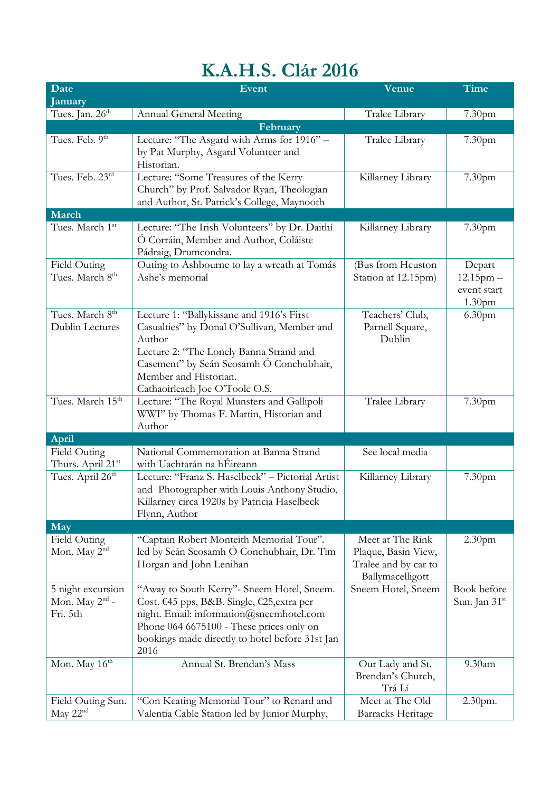## **K.A.H.S. Clár 2016**

| Date                                                        | Event                                                                                                                                                                                                                                                | Venue                                                                               | <b>Time</b>                                                   |
|-------------------------------------------------------------|------------------------------------------------------------------------------------------------------------------------------------------------------------------------------------------------------------------------------------------------------|-------------------------------------------------------------------------------------|---------------------------------------------------------------|
| January                                                     |                                                                                                                                                                                                                                                      |                                                                                     |                                                               |
| Tues. Jan. 26 <sup>th</sup>                                 | <b>Annual General Meeting</b>                                                                                                                                                                                                                        | Tralee Library                                                                      | 7.30 <sub>pm</sub>                                            |
|                                                             | February                                                                                                                                                                                                                                             |                                                                                     |                                                               |
| Tues. Feb. 9 <sup>th</sup>                                  | Lecture: "The Asgard with Arms for 1916" -<br>by Pat Murphy, Asgard Volunteer and<br>Historian.                                                                                                                                                      | Tralee Library                                                                      | 7.30 <sub>pm</sub>                                            |
| Tues. Feb. 23rd                                             | Lecture: "Some Treasures of the Kerry<br>Church" by Prof. Salvador Ryan, Theologian<br>and Author, St. Patrick's College, Maynooth                                                                                                                   | Killarney Library                                                                   | 7.30 <sub>pm</sub>                                            |
| March                                                       |                                                                                                                                                                                                                                                      |                                                                                     |                                                               |
| Tues. March 1st                                             | Lecture: "The Irish Volunteers" by Dr. Daithí<br>Ó Corráin, Member and Author, Coláiste<br>Pádraig, Drumcondra.                                                                                                                                      | Killarney Library                                                                   | 7.30 <sub>pm</sub>                                            |
| Field Outing<br>Tues. March 8 <sup>th</sup>                 | Outing to Ashbourne to lay a wreath at Tomás<br>Ashe's memorial                                                                                                                                                                                      | (Bus from Heuston<br>Station at 12.15pm)                                            | Depart<br>$12.15$ pm $-$<br>event start<br>1.30 <sub>pm</sub> |
| Tues. March 8 <sup>th</sup><br>Dublin Lectures              | Lecture 1: "Ballykissane and 1916's First<br>Casualties" by Donal O'Sullivan, Member and<br>Author<br>Lecture 2: "The Lonely Banna Strand and<br>Casement" by Seán Seosamh Ó Conchubhair,<br>Member and Historian.<br>Cathaoirleach Joe O'Toole O.S. | Teachers' Club,<br>Parnell Square,<br>Dublin                                        | 6.30 <sub>pm</sub>                                            |
| Tues. March 15 <sup>th</sup>                                | Lecture: "The Royal Munsters and Gallipoli<br>WWI" by Thomas F. Martin, Historian and<br>Author                                                                                                                                                      | Tralee Library                                                                      | 7.30pm                                                        |
| <b>April</b>                                                |                                                                                                                                                                                                                                                      |                                                                                     |                                                               |
| Field Outing<br>Thurs. April 21 <sup>st</sup>               | National Commemoration at Banna Strand<br>with Uachtarán na hÉireann                                                                                                                                                                                 | See local media                                                                     |                                                               |
| Tues. April 26 <sup>th</sup>                                | Lecture: "Franz S. Haselbeck" - Pictorial Artist<br>and Photographer with Louis Anthony Studio,<br>Killarney circa 1920s by Patricia Haselbeck<br>Flynn, Author                                                                                      | Killarney Library                                                                   | 7.30 <sub>pm</sub>                                            |
| May                                                         |                                                                                                                                                                                                                                                      |                                                                                     |                                                               |
| Field Outing<br>Mon. May 2 <sup>nd</sup>                    | "Captain Robert Monteith Memorial Tour".<br>led by Seán Seosamh Ó Conchubhair, Dr. Tim<br>Horgan and John Lenihan                                                                                                                                    | Meet at The Rink<br>Plaque, Basin View,<br>Tralee and by car to<br>Ballymacelligott | 2.30 <sub>pm</sub>                                            |
| 5 night excursion<br>Mon. May 2 <sup>nd</sup> -<br>Fri. 5th | "Away to South Kerry" - Sneem Hotel, Sneem.<br>Cost. €45 pps, B&B. Single, €25, extra per<br>night. Email: information@sneemhotel.com<br>Phone 064 6675100 - These prices only on<br>bookings made directly to hotel before 31st Jan<br>2016         | Sneem Hotel, Sneem                                                                  | Book before<br>Sun. Jan 31 <sup>st</sup>                      |
| Mon. May 16 <sup>th</sup>                                   | Annual St. Brendan's Mass                                                                                                                                                                                                                            | Our Lady and St.<br>Brendan's Church,<br>Trá Lí                                     | 9.30am                                                        |
| Field Outing Sun.<br>May 22 <sup>nd</sup>                   | "Con Keating Memorial Tour" to Renard and<br>Valentia Cable Station led by Junior Murphy,                                                                                                                                                            | Meet at The Old<br>Barracks Heritage                                                | 2.30pm.                                                       |